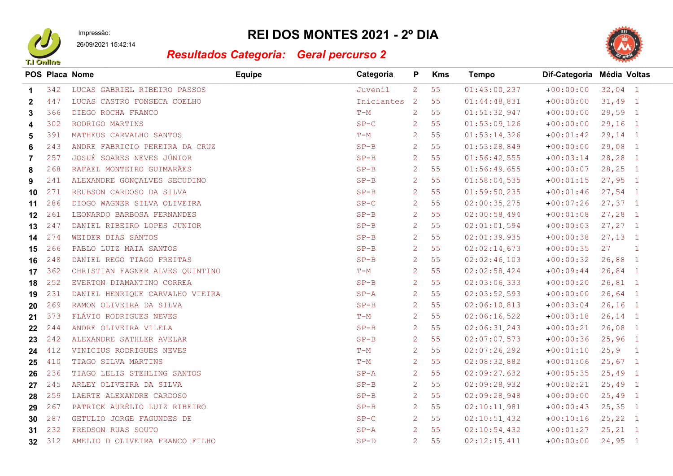

Impressão:

## 26/09/2021 15:42:14

## REI DOS MONTES 2021 - 2º DIA



## Resultados Categoria: Geral percurso 2

|              |     | POS Placa Nome                  | <b>Equipe</b> | Categoria  | P              | <b>Kms</b> | <b>Tempo</b> | Dif-Categoria Média Voltas |                  |                |
|--------------|-----|---------------------------------|---------------|------------|----------------|------------|--------------|----------------------------|------------------|----------------|
| $\mathbf 1$  | 342 | LUCAS GABRIEL RIBEIRO PASSOS    |               | Juvenil    | 2 <sup>1</sup> | 55         | 01:43:00.237 | $+00:00:00$                | $32,04$ 1        |                |
| $\mathbf{2}$ | 447 | LUCAS CASTRO FONSECA COELHO     |               | Iniciantes | <sup>2</sup>   | 55         | 01:44:48.831 | $+00:00:00$                | $31,49$ 1        |                |
| 3            | 366 | DIEGO ROCHA FRANCO              |               | $T-M$      | $\overline{2}$ | 55         | 01:51:32.947 | $+00:00:00$                | $29,59$ 1        |                |
| 4            | 302 | RODRIGO MARTINS                 |               | $SP-C$     | $\overline{2}$ | 55         | 01:53:09.126 | $+00:00:00$                | $29,16$ 1        |                |
| 5            | 391 | MATHEUS CARVALHO SANTOS         |               | $T-M$      | $\overline{2}$ | 55         | 01:53:14.326 | $+00:01:42$                | $29,14$ 1        |                |
| 6            | 243 | ANDRE FABRICIO PEREIRA DA CRUZ  |               | $SP-B$     | $\overline{2}$ | 55         | 01:53:28.849 | $+00:00:00$                | $29,08$ 1        |                |
| 7            | 257 | JOSUÉ SOARES NEVES JÚNIOR       |               | $SP-B$     | $\overline{2}$ | 55         | 01:56:42.555 | $+00:03:14$                | $28, 28$ 1       |                |
| 8            | 268 | RAFAEL MONTEIRO GUIMARÃES       |               | $SP-B$     | $\overline{2}$ | 55         | 01:56:49.655 | $+00:00:07$                | $28, 25$ 1       |                |
| 9            | 241 | ALEXANDRE GONÇALVES SECUDINO    |               | $SP-B$     | $\overline{2}$ | 55         | 01:58:04.535 | $+00:01:15$                | $27,95$ 1        |                |
| 10           | 271 | REUBSON CARDOSO DA SILVA        |               | $SP-B$     | $\overline{2}$ | 55         | 01:59:50.235 | $+00:01:46$                | $27,54$ 1        |                |
| 11           | 286 | DIOGO WAGNER SILVA OLIVEIRA     |               | $SP-C$     | $\overline{2}$ | 55         | 02:00:35.275 | $+00:07:26$                | $27, 37$ 1       |                |
| 12           | 261 | LEONARDO BARBOSA FERNANDES      |               | $SP-B$     | $\overline{2}$ | 55         | 02:00:58.494 | $+00:01:08$                | $27, 28$ 1       |                |
| 13           | 247 | DANIEL RIBEIRO LOPES JUNIOR     |               | $SP-B$     | $\overline{2}$ | 55         | 02:01:01.594 | $+00:00:03$                | $27, 27$ 1       |                |
| 14           | 274 | WEIDER DIAS SANTOS              |               | $SP-B$     | $\overline{2}$ | 55         | 02:01:39.935 | $+00:00:38$                | $27,13$ 1        |                |
| 15           | 266 | PABLO LUIZ MAIA SANTOS          |               | $SP-B$     | $\overline{2}$ | 55         | 02:02:14.673 | $+00:00:35$                | 27               | $\blacksquare$ |
| 16           | 248 | DANIEL REGO TIAGO FREITAS       |               | $SP-B$     | $\overline{2}$ | 55         | 02:02:46.103 | $+00:00:32$                | $26,88$ 1        |                |
| 17           | 362 | CHRISTIAN FAGNER ALVES QUINTINO |               | $T-M$      | $\overline{2}$ | 55         | 02:02:58.424 | $+00:09:44$                | $26,84$ 1        |                |
| 18           | 252 | EVERTON DIAMANTINO CORREA       |               | $SP-B$     | $\overline{2}$ | 55         | 02:03:06.333 | $+00:00:20$                | $26,81$ 1        |                |
| 19           | 231 | DANIEL HENRIQUE CARVALHO VIEIRA |               | $SP - A$   | $\overline{2}$ | 55         | 02:03:52.593 | $+00:00:00$                | $26,64$ 1        |                |
| 20           | 269 | RAMON OLIVEIRA DA SILVA         |               | $SP-B$     | $\overline{2}$ | 55         | 02:06:10.813 | $+00:03:04$                | $26, 16$ 1       |                |
| 21           | 373 | FLÁVIO RODRIGUES NEVES          |               | $T-M$      | $\overline{2}$ | 55         | 02:06:16.522 | $+00:03:18$                | $26, 14$ 1       |                |
| 22           | 244 | ANDRE OLIVEIRA VILELA           |               | $SP-B$     | $\overline{2}$ | 55         | 02:06:31.243 | $+00:00:21$                | $26,08$ 1        |                |
| 23           | 242 | ALEXANDRE SATHLER AVELAR        |               | $SP-B$     | $\overline{2}$ | 55         | 02:07:07.573 | $+00:00:36$                | $25,96$ 1        |                |
| 24           | 412 | VINICIUS RODRIGUES NEVES        |               | $T-M$      | $\overline{2}$ | 55         | 02:07:26.292 | $+00:01:10$                | 25, 9            | $\blacksquare$ |
| 25           | 410 | TIAGO SILVA MARTINS             |               | $T-M$      | 2              | 55         | 02:08:32.882 | $+00:01:06$                | $25,67$ 1        |                |
| 26           | 236 | TIAGO LELIS STEHLING SANTOS     |               | $SP - A$   | $\overline{2}$ | 55         | 02:09:27.632 | $+00:05:35$                | $25,49$ 1        |                |
| 27           | 245 | ARLEY OLIVEIRA DA SILVA         |               | $SP-B$     | $\overline{2}$ | 55         | 02:09:28.932 | $+00:02:21$                | $25,49$ 1        |                |
| 28           | 259 | LAERTE ALEXANDRE CARDOSO        |               | $SP-B$     | $\overline{2}$ | 55         | 02:09:28.948 | $+00:00:00$                | $25,49$ 1        |                |
| 29           | 267 | PATRICK AURÉLIO LUIZ RIBEIRO    |               | $SP-B$     | $\overline{2}$ | 55         | 02:10:11.981 | $+00:00:43$                | $25, 35$ 1       |                |
| 30           | 287 | GETULIO JORGE FAGUNDES DE       |               | $SP-C$     | $\overline{2}$ | 55         | 02:10:51.432 | $+00:10:16$                | $25, 22 \quad 1$ |                |
| 31           | 232 | FREDSON RUAS SOUTO              |               | $SP - A$   | $\overline{2}$ | 55         | 02:10:54.432 | $+00:01:27$                | $25, 21$ 1       |                |
| 32           | 312 | AMELIO D OLIVEIRA FRANCO FILHO  |               | $SP-D$     | 2 <sup>1</sup> | 55         | 02:12:15.411 | $+00:00:00$                | $24,95$ 1        |                |
|              |     |                                 |               |            |                |            |              |                            |                  |                |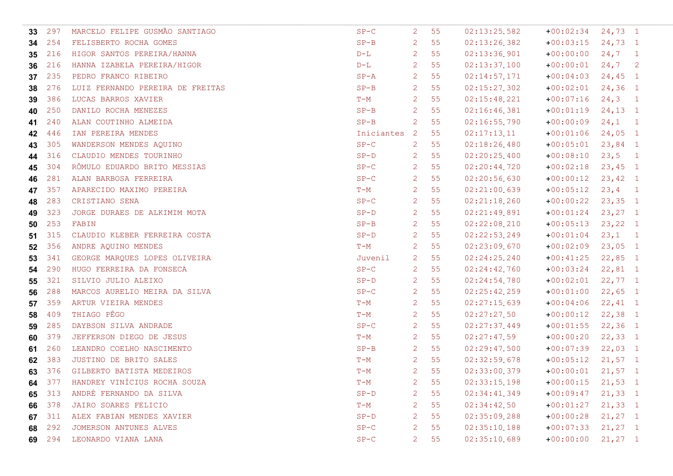| 33     | 297    | MARCELO FELIPE GUSMÃO SANTIAGO      | $SP-C$     | 2                         | 55 | 02:13:25.582   | $+00:02:34$ 24,73 1 |            |              |
|--------|--------|-------------------------------------|------------|---------------------------|----|----------------|---------------------|------------|--------------|
| 34     | 254    | FELISBERTO ROCHA GOMES              | $SP-B$     | 2                         | 55 | 02:13:26.382   | $+00:03:15$         | $24,73$ 1  |              |
| 35     | 216    | HIGOR SANTOS PEREIRA/HANNA          | $D-L$      | 2                         | 55 | 02:13:36.901   | $+00:00:00$         | 24,7       | $\mathbf{1}$ |
| 36     | 216    | HANNA IZABELA PEREIRA/HIGOR         | $D-L$      | 2                         | 55 | 02:13:37.100   | $+00:00:01$         | 24,7       | -2           |
| 37     | 235    | PEDRO FRANCO RIBEIRO                | $SP - A$   | 2                         | 55 | $02:14:57$ 171 | $+00:04:03$         | $24, 45$ 1 |              |
| -38    | 276    | LUIZ FERNANDO PEREIRA DE FREITAS    | $SP-B$     | 2                         | 55 | 02:15:27.302   | $+00:02:01$         | $24, 36$ 1 |              |
| 39     | 386    | LUCAS BARROS XAVIER                 | $T-M$      | 2                         | 55 | 02:15:48.221   | $+00:07:16$         | $24, 3$ 1  |              |
| 40     | 250    | DANILO ROCHA MENEZES                | $SP-B$     | 2                         | 55 | 02:16:46.381   | $+00:01:19$         | $24, 13$ 1 |              |
| 41     | 240    | ALAN COUTINHO ALMEIDA               | $SP-B$     | 2                         | 55 | 02:16:55.790   | $+00:00:09$         | 24,1       | $\mathbf{1}$ |
| 42     | 446    | IAN PEREIRA MENDES                  | Iniciantes | $\overline{2}$            | 55 | 02:17:13.11    | $+00:01:06$         | $24,05$ 1  |              |
| 43     | 305    | WANDERSON MENDES AQUINO             | $SP-C$     | 2                         | 55 | 02:18:26.480   | $+00:05:01$         | $23,84$ 1  |              |
| 44     | 316    | CLAUDIO MENDES TOURINHO             | $SP-D$     | 2                         | 55 | 02:20:25.400   | $+00:08:10$         | $23,5$ 1   |              |
| 45     | 304    | RÔMULO EDUARDO BRITO MESSIAS        | $SP-C$     | 2                         | 55 | 02:20:44.720   | $+00:02:18$         | $23, 45$ 1 |              |
| 46     | 281    | ALAN BARBOSA FERREIRA               | $SP-C$     | 2                         | 55 | 02:20:56.630   | $+00:00:12$         | $23, 42$ 1 |              |
| 47     | 357    | APARECIDO MAXIMO PEREIRA            | $T-M$      | 2                         | 55 | 02:21:00.639   | $+00:05:12$         | $23, 4$ 1  |              |
| 48     | 283    | CRISTIANO SENA                      | $SP-C$     | 2                         | 55 | 02:21:18.260   | $+00:00:22$         | $23,35$ 1  |              |
| 49     | 323    | JORGE DURAES DE ALKIMIM MOTA        | $SP-D$     | 2                         | 55 | 02:21:49.891   | $+00:01:24$         | $23, 27$ 1 |              |
| 50     | 253    | FABIN                               | $SP-B$     | 2                         | 55 | 02:22:08.210   | $+00:05:13$         | $23, 22$ 1 |              |
| 51     | 315    | CLAUDIO KLEBER FERREIRA COSTA       | $SP-D$     | 2                         | 55 | 02:22:53.249   | $+00:01:04$         | $23,1$ 1   |              |
| 52     | 356    | ANDRE AQUINO MENDES                 | $T-M$      | 2                         | 55 | 02:23:09.670   | $+00:02:09$         | $23,05$ 1  |              |
| 53     | 341    | GEORGE MARQUES LOPES OLIVEIRA       | Juvenil    | 2                         | 55 | 02:24:25.240   | $+00:41:25$         | $22,85$ 1  |              |
| 54     | 290    | HUGO FERREIRA DA FONSECA            | $SP-C$     | 2                         | 55 | 02:24:42.760   | $+00:03:24$         | $22,81$ 1  |              |
| 55     | 321    | SILVIO JULIO ALEIXO                 | $SP-D$     | 2                         | 55 | 02:24:54.780   | $+00:02:01$         | $22,77$ 1  |              |
| 56     | 288    | MARCOS AURELIO MEIRA DA SILVA       | $SP-C$     | 2                         | 55 | 02:25:42.259   | $+00:01:00$         | $22,65$ 1  |              |
| 57     | 359    | ARTUR VIEIRA MENDES                 | $T-M$      | 2                         | 55 | 02:27:15.639   | $+00:04:06$         | $22, 41$ 1 |              |
| 58     | 409    | THIAGO PÊGO                         | $T-M$      | 2                         | 55 | 02:27:27.50    | $+00:00:12$         | $22,38$ 1  |              |
| 59     | 285    | DAYBSON SILVA ANDRADE               | $SP-C$     | 2                         | 55 | 02:27:37.449   | $+00:01:55$         | $22, 36$ 1 |              |
| 60     | 379    | JEFFERSON DIEGO DE JESUS            | $T-M$      | 2                         | 55 | 02:27:47.59    | $+00:00:20$         | $22, 33$ 1 |              |
| 61     | 260    | LEANDRO COELHO NASCIMENTO           | $SP-B$     | 2                         | 55 | 02:29:47.500   | $+00:07:39$         | $22,03$ 1  |              |
| 62     | 383    | JUSTINO DE BRITO SALES              | $T-M$      | 2                         | 55 | 02:32:59.678   | $+00:05:12$         | $21,57$ 1  |              |
| 63 376 |        | GILBERTO BATISTA MEDEIROS           | $T-M$      | 2                         | 55 | 02:33:00.379   | $+00:00:01$ 21,57 1 |            |              |
|        |        | 64 377 HANDREY VINÍCIUS ROCHA SOUZA | $T-M$      | $\overline{2}$            | 55 | 02:33:15.198   | $+00:00:15$ 21,53 1 |            |              |
| 65     | 313    | ANDRÉ FERNANDO DA SILVA             | $SP-D$     | 2                         | 55 | 02:34:41.349   | $+00:09:47$ 21,33 1 |            |              |
| 66 378 |        | JAIRO SOARES FELICIO                | $T-M$      | 2                         | 55 | 02:34:42.50    | $+00:01:27$         | $21,33$ 1  |              |
| 67 311 |        | ALEX FABIAN MENDES XAVIER           | $SP-D$     | 2                         | 55 | 02:35:09.288   | $+00:00:28$ 21,27 1 |            |              |
| 68     | 292    | JOMERSON ANTUNES ALVES              | $SP-C$     | 2                         | 55 | 02:35:10.188   | $+00:07:33$         | $21, 27$ 1 |              |
|        | 69 294 | LEONARDO VIANA LANA                 | $SP-C$     | $\mathbf{2}^{\mathsf{I}}$ | 55 | 02:35:10.689   | $+00:00:00$         | $21, 27$ 1 |              |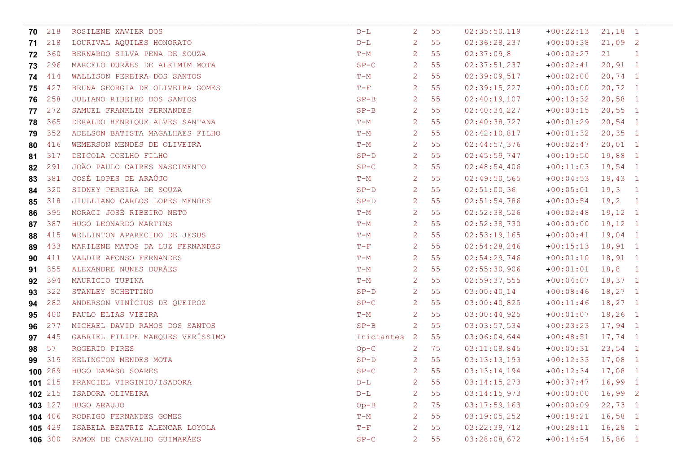| 70      | 218     | ROSILENE XAVIER DOS               | $D-L$      | 2                | 55   | 02:35:50.119 | $+00:22:13$         | $21,18$ 1  |                |
|---------|---------|-----------------------------------|------------|------------------|------|--------------|---------------------|------------|----------------|
| 71      | 218     | LOURIVAL AQUILES HONORATO         | $D-L$      | 2                | 55   | 02:36:28.237 | $+00:00:38$         | $21,09$ 2  |                |
| 72      | 360     | BERNARDO SILVA PENA DE SOUZA      | $T-M$      | 2                | 55   | 02:37:09.8   | $+00:02:27$         | 21         | $\blacksquare$ |
| 73      | 296     | MARCELO DURÃES DE ALKIMIM MOTA    | $SP-C$     | 2                | 55   | 02:37:51.237 | $+00:02:41$         | $20, 91$ 1 |                |
| 74 414  |         | WALLISON PEREIRA DOS SANTOS       | $T-M$      | 2                | 55   | 02:39:09.517 | $+00:02:00$         | $20, 74$ 1 |                |
| 75      | 427     | BRUNA GEORGIA DE OLIVEIRA GOMES   | $T-F$      | 2                | 55   | 02:39:15.227 | $+00:00:00$         | $20, 72$ 1 |                |
| 76      | 258     | JULIANO RIBEIRO DOS SANTOS        | $SP-B$     | 2                | 55   | 02:40:19.107 | $+00:10:32$         | $20,58$ 1  |                |
| 77      | 272     | SAMUEL FRANKLIN FERNANDES         | $SP-B$     | 2                | 55   | 02:40:34.227 | $+00:00:15$         | $20,55$ 1  |                |
| 78      | 365     | DERALDO HENRIQUE ALVES SANTANA    | $T-M$      | 2                | 55   | 02:40:38.727 | $+00:01:29$         | $20,54$ 1  |                |
| 79      | 352     | ADELSON BATISTA MAGALHAES FILHO   | $T-M$      | 2                | 55   | 02:42:10.817 | $+00:01:32$         | $20, 35$ 1 |                |
| 80      | 416     | WEMERSON MENDES DE OLIVEIRA       | $T-M$      | 2                | 55   | 02:44:57.376 | $+00:02:47$         | $20,01$ 1  |                |
| 81      | 317     | DEICOLA COELHO FILHO              | $SP-D$     | 2                | 55   | 02:45:59.747 | $+00:10:50$         | $19,88$ 1  |                |
| 82      | 291     | JOÃO PAULO CAIRES NASCIMENTO      | $SP-C$     | 2                | 55   | 02:48:54.406 | $+00:11:03$         | $19,54$ 1  |                |
| 83      | 381     | JOSÉ LOPES DE ARAÚJO              | $T-M$      | 2                | 55   | 02:49:50.565 | $+00:04:53$         | $19,43$ 1  |                |
| 84      | 320     | SIDNEY PEREIRA DE SOUZA           | $SP-D$     | 2                | 55   | 02:51:00.36  | $+00:05:01$         | $19,3$ 1   |                |
| 85      | 318     | JIULLIANO CARLOS LOPES MENDES     | $SP-D$     | 2                | 55   | 02:51:54.786 | $+00:00:54$         | 19,2       | $\blacksquare$ |
| 86      | 395     | MORACI JOSÉ RIBEIRO NETO          | $T-M$      | 2                | 55   | 02:52:38.526 | $+00:02:48$         | $19,12$ 1  |                |
| 87      | 387     | HUGO LEONARDO MARTINS             | $T-M$      | 2                | 55   | 02:52:38.730 | $+00:00:00$         | $19,12$ 1  |                |
| 88      | 415     | WELLINTON APARECIDO DE JESUS      | $T-M$      | 2                | 55   | 02:53:19.165 | $+00:00:41$         | $19,04$ 1  |                |
| 89      | 433     | MARILENE MATOS DA LUZ FERNANDES   | $T-F$      | 2                | 55   | 02:54:28.246 | $+00:15:13$         | $18, 91$ 1 |                |
| 90      | 411     | VALDIR AFONSO FERNANDES           | $T-M$      | 2                | 55   | 02:54:29.746 | $+00:01:10$         | $18, 91$ 1 |                |
| 91      | 355     | ALEXANDRE NUNES DURÃES            | $T-M$      | 2                | 55   | 02:55:30.906 | $+00:01:01$         | $18,8$ 1   |                |
| 92      | 394     | MAURICIO TUPINA                   | $T-M$      | 2                | 55   | 02:59:37.555 | $+00:04:07$         | $18,37$ 1  |                |
| 93      | 322     | STANLEY SCHETTINO                 | $SP-D$     | 2                | 55   | 03:00:40.14  | $+00:08:46$         | $18,27$ 1  |                |
| 94      | 282     | ANDERSON VINÍCIUS DE QUEIROZ      | $SP-C$     | 2                | 55   | 03:00:40.825 | $+00:11:46$         | $18,27$ 1  |                |
| 95      | 400     | PAULO ELIAS VIEIRA                | $T-M$      | 2                | 55   | 03:00:44.925 | $+00:01:07$         | $18, 26$ 1 |                |
| 96      | 277     | MICHAEL DAVID RAMOS DOS SANTOS    | $SP-B$     | 2                | 55   | 03:03:57.534 | $+00:23:23$         | 17,94 1    |                |
| 97      | 445     | GABRIEL FILIPE MARQUES VERÍSSIMO  | Iniciantes | $\overline{2}$   | 55   | 03:06:04.644 | $+00:48:51$         | $17,74$ 1  |                |
| 98      | 57      | ROGERIO PIRES                     | $Op-C$     | -2               | 75   | 03:11:08.845 | $+00:00:31$         | $23,54$ 1  |                |
| 99      | 319     | KELINGTON MENDES MOTA             | $SP-D$     | 2                | 55   | 03:13:13.193 | $+00:12:33$         | $17,08$ 1  |                |
| 100 289 |         | HUGO DAMASO SOARES                | $SP-C$     | $\overline{2}$   | 55   | 03:13:14.194 | $+00:12:34$ 17,08 1 |            |                |
|         |         | 101 215 FRANCIEL VIRGINIO/ISADORA | $D-L$      |                  | 2 55 | 03:14:15.273 | $+00:37:47$ 16,99 1 |            |                |
| 102 215 |         | ISADORA OLIVEIRA                  | $D-L$      | 2                | 55   | 03:14:15.973 | $+00:00:00$ 16,99 2 |            |                |
| 103 127 |         | HUGO ARAUJO                       | $Op-B$     | 2                | 75   | 03:17:59.163 | $+00:00:09$ 22,73 1 |            |                |
| 104 406 |         | RODRIGO FERNANDES GOMES           | $T-M$      | 2                | 55   | 03:19:05.252 | $+00:18:21$ 16,58 1 |            |                |
| 105 429 |         | ISABELA BEATRIZ ALENCAR LOYOLA    | $T-F$      | 2                | 55   | 03:22:39.712 | $+00:28:11$ 16,28 1 |            |                |
|         | 106 300 | RAMON DE CARVALHO GUIMARÃES       | $SP-C$     | $2 \overline{ }$ | 55   | 03:28:08.672 | $+00:14:54$ 15,86 1 |            |                |